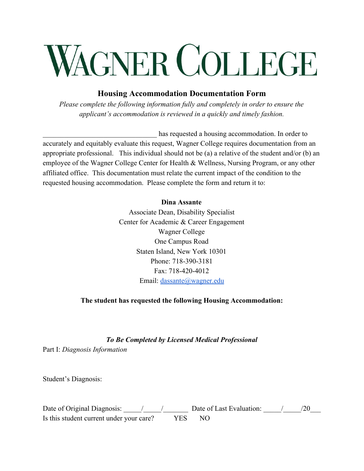# WAGNER COLLEGE

### **Housing Accommodation Documentation Form**

*Please complete the following information fully and completely in order to ensure the applicant's accommodation is reviewed in a quickly and timely fashion.*

has requested a housing accommodation. In order to accurately and equitably evaluate this request, Wagner College requires documentation from an appropriate professional. This individual should not be (a) a relative of the student and/or (b) an employee of the Wagner College Center for Health & Wellness, Nursing Program, or any other affiliated office. This documentation must relate the current impact of the condition to the requested housing accommodation. Please complete the form and return it to:

#### **Dina Assante**

Associate Dean, Disability Specialist Center for Academic & Career Engagement Wagner College One Campus Road Staten Island, New York 10301 Phone: 718-390-3181 Fax: 718-420-4012 Email: [dassante@wagner.edu](mailto:dassante@wagner.edu)

#### **The student has requested the following Housing Accommodation:**

#### *To Be Completed by Licensed Medical Professional*

Part I: *Diagnosis Information*

Student's Diagnosis:

| Date of Original Diagnosis:              |     | Date of Last Evaluation: |  |
|------------------------------------------|-----|--------------------------|--|
| Is this student current under your care? | YES | - NO                     |  |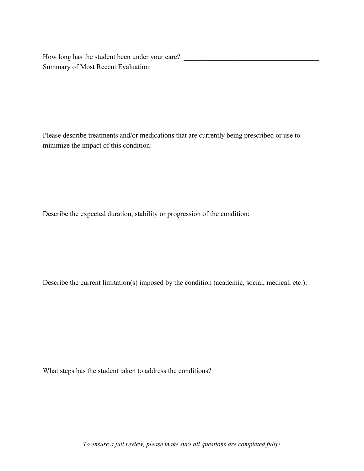How long has the student been under your care? \_\_\_\_\_\_\_\_\_\_\_\_\_\_\_\_\_\_\_\_\_\_\_\_\_\_\_\_\_\_\_\_\_ Summary of Most Recent Evaluation:

Please describe treatments and/or medications that are currently being prescribed or use to minimize the impact of this condition:

Describe the expected duration, stability or progression of the condition:

Describe the current limitation(s) imposed by the condition (academic, social, medical, etc.):

What steps has the student taken to address the conditions?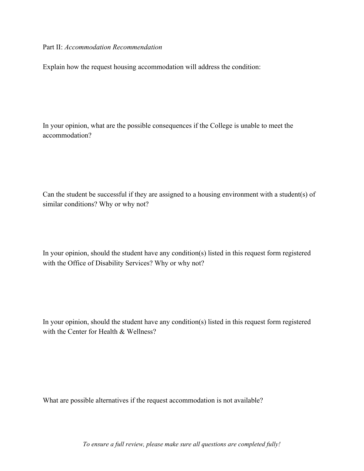Part II: *Accommodation Recommendation*

Explain how the request housing accommodation will address the condition:

In your opinion, what are the possible consequences if the College is unable to meet the accommodation?

Can the student be successful if they are assigned to a housing environment with a student(s) of similar conditions? Why or why not?

In your opinion, should the student have any condition(s) listed in this request form registered with the Office of Disability Services? Why or why not?

In your opinion, should the student have any condition(s) listed in this request form registered with the Center for Health & Wellness?

What are possible alternatives if the request accommodation is not available?

*To ensure a full review, please make sure all questions are completed fully!*